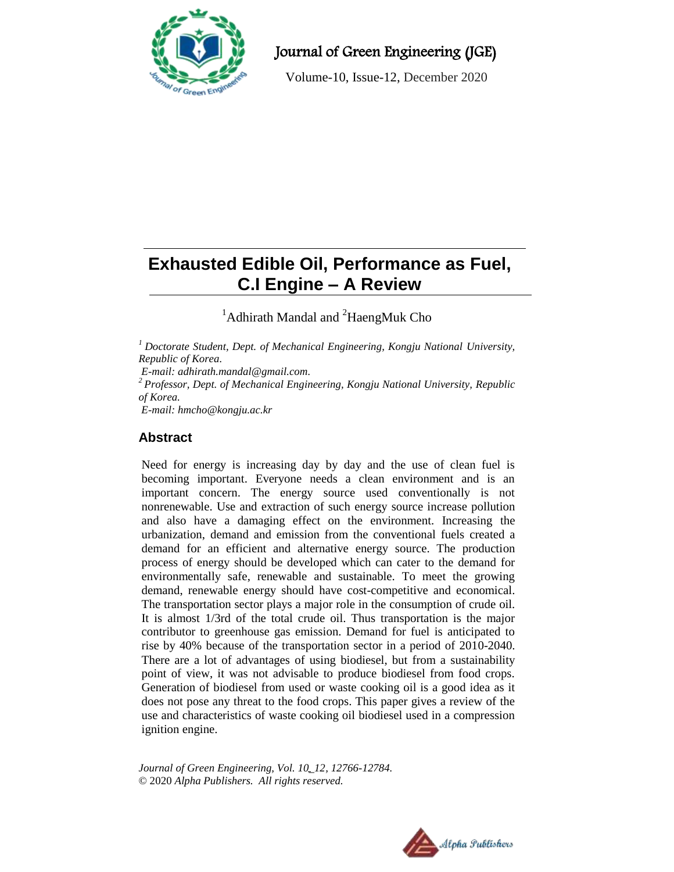

Journal of Green Engineering (JGE)

Volume-10, Issue-12, December 2020

# **Exhausted Edible Oil, Performance as Fuel, C.I Engine – A Review**

<sup>1</sup>Adhirath Mandal and <sup>2</sup>HaengMuk Cho

*<sup>1</sup> Doctorate Student, Dept. of Mechanical Engineering, Kongju National University, Republic of Korea.*

*E-mail[: adhirath.mandal@gmail.com.](mailto:adhirath.mandal@gmail.com)*

*<sup>2</sup>Professor, Dept. of Mechanical Engineering, Kongju National University, Republic of Korea.*

*E-mail: hmcho@kongju.ac.kr*

# **Abstract**

Need for energy is increasing day by day and the use of clean fuel is becoming important. Everyone needs a clean environment and is an important concern. The energy source used conventionally is not nonrenewable. Use and extraction of such energy source increase pollution and also have a damaging effect on the environment. Increasing the urbanization, demand and emission from the conventional fuels created a demand for an efficient and alternative energy source. The production process of energy should be developed which can cater to the demand for environmentally safe, renewable and sustainable. To meet the growing demand, renewable energy should have cost-competitive and economical. The transportation sector plays a major role in the consumption of crude oil. It is almost 1/3rd of the total crude oil. Thus transportation is the major contributor to greenhouse gas emission. Demand for fuel is anticipated to rise by 40% because of the transportation sector in a period of 2010-2040. There are a lot of advantages of using biodiesel, but from a sustainability point of view, it was not advisable to produce biodiesel from food crops. Generation of biodiesel from used or waste cooking oil is a good idea as it does not pose any threat to the food crops. This paper gives a review of the use and characteristics of waste cooking oil biodiesel used in a compression ignition engine.

*Journal of Green Engineering, Vol. 10\_12, 12766-12784.* © 2020 *Alpha Publishers. All rights reserved.*

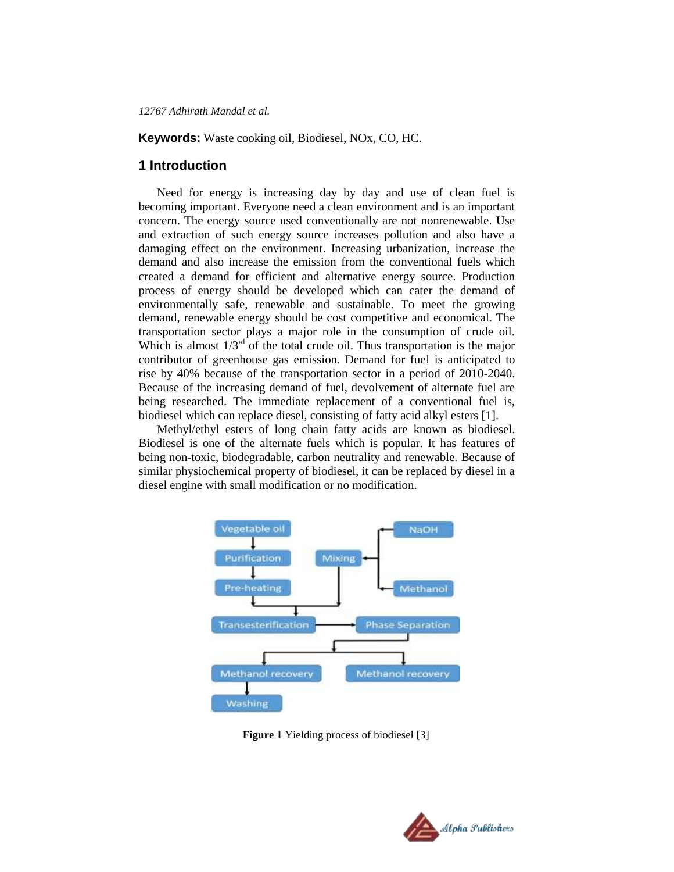**Keywords:** Waste cooking oil, Biodiesel, NOx, CO, HC.

### **1 Introduction**

Need for energy is increasing day by day and use of clean fuel is becoming important. Everyone need a clean environment and is an important concern. The energy source used conventionally are not nonrenewable. Use and extraction of such energy source increases pollution and also have a damaging effect on the environment. Increasing urbanization, increase the demand and also increase the emission from the conventional fuels which created a demand for efficient and alternative energy source. Production process of energy should be developed which can cater the demand of environmentally safe, renewable and sustainable. To meet the growing demand, renewable energy should be cost competitive and economical. The transportation sector plays a major role in the consumption of crude oil. Which is almost  $1/3<sup>rd</sup>$  of the total crude oil. Thus transportation is the major contributor of greenhouse gas emission. Demand for fuel is anticipated to rise by 40% because of the transportation sector in a period of 2010-2040. Because of the increasing demand of fuel, devolvement of alternate fuel are being researched. The immediate replacement of a conventional fuel is, biodiesel which can replace diesel, consisting of fatty acid alkyl esters [1].

Methyl/ethyl esters of long chain fatty acids are known as biodiesel. Biodiesel is one of the alternate fuels which is popular. It has features of being non-toxic, biodegradable, carbon neutrality and renewable. Because of similar physiochemical property of biodiesel, it can be replaced by diesel in a diesel engine with small modification or no modification.



**Figure 1** Yielding process of biodiesel [3]

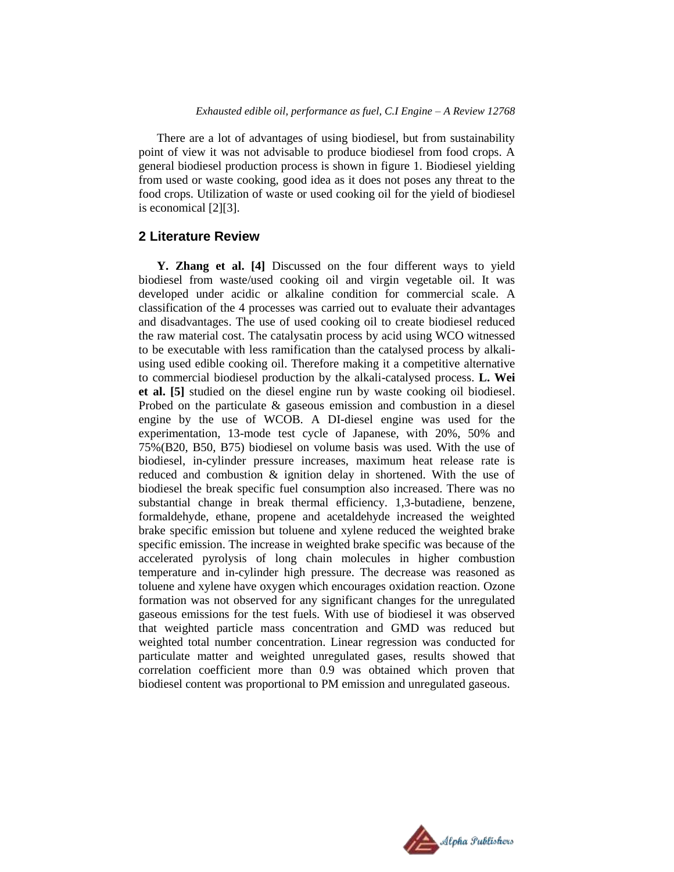There are a lot of advantages of using biodiesel, but from sustainability point of view it was not advisable to produce biodiesel from food crops. A general biodiesel production process is shown in figure 1. Biodiesel yielding from used or waste cooking, good idea as it does not poses any threat to the food crops. Utilization of waste or used cooking oil for the yield of biodiesel is economical [2][3].

## **2 Literature Review**

**Y. Zhang et al. [4]** Discussed on the four different ways to yield biodiesel from waste/used cooking oil and virgin vegetable oil. It was developed under acidic or alkaline condition for commercial scale. A classification of the 4 processes was carried out to evaluate their advantages and disadvantages. The use of used cooking oil to create biodiesel reduced the raw material cost. The catalysatin process by acid using WCO witnessed to be executable with less ramification than the catalysed process by alkaliusing used edible cooking oil. Therefore making it a competitive alternative to commercial biodiesel production by the alkali-catalysed process. **L. Wei et al. [5]** studied on the diesel engine run by waste cooking oil biodiesel. Probed on the particulate & gaseous emission and combustion in a diesel engine by the use of WCOB. A DI-diesel engine was used for the experimentation, 13-mode test cycle of Japanese, with 20%, 50% and 75%(B20, B50, B75) biodiesel on volume basis was used. With the use of biodiesel, in-cylinder pressure increases, maximum heat release rate is reduced and combustion & ignition delay in shortened. With the use of biodiesel the break specific fuel consumption also increased. There was no substantial change in break thermal efficiency. 1,3-butadiene, benzene, formaldehyde, ethane, propene and acetaldehyde increased the weighted brake specific emission but toluene and xylene reduced the weighted brake specific emission. The increase in weighted brake specific was because of the accelerated pyrolysis of long chain molecules in higher combustion temperature and in-cylinder high pressure. The decrease was reasoned as toluene and xylene have oxygen which encourages oxidation reaction. Ozone formation was not observed for any significant changes for the unregulated gaseous emissions for the test fuels. With use of biodiesel it was observed that weighted particle mass concentration and GMD was reduced but weighted total number concentration. Linear regression was conducted for particulate matter and weighted unregulated gases, results showed that correlation coefficient more than 0.9 was obtained which proven that biodiesel content was proportional to PM emission and unregulated gaseous.

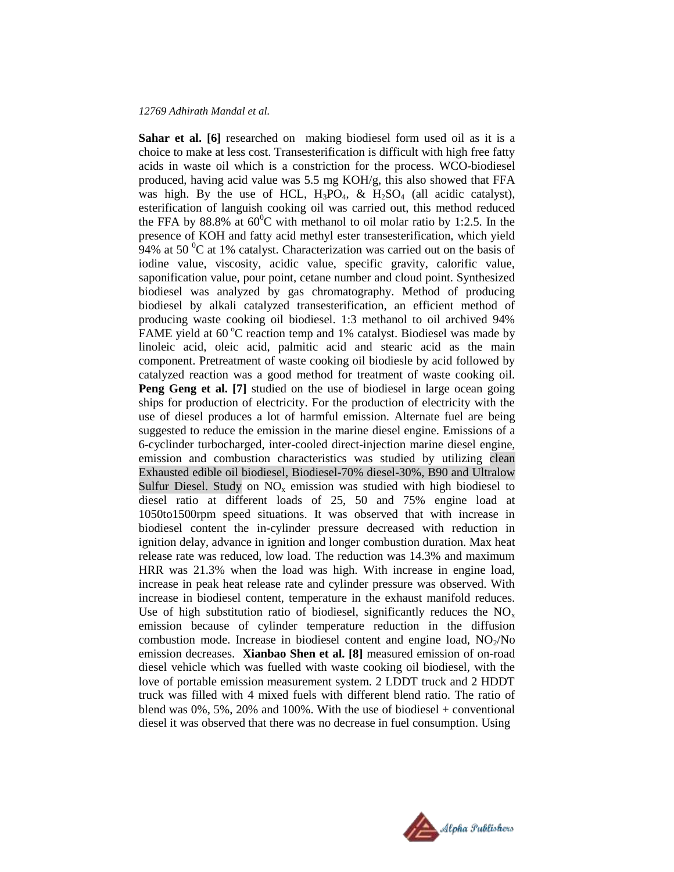Sahar et al. [6] researched on making biodiesel form used oil as it is a choice to make at less cost. Transesterification is difficult with high free fatty acids in waste oil which is a constriction for the process. WCO-biodiesel produced, having acid value was 5.5 mg KOH/g, this also showed that FFA was high. By the use of HCL,  $H_3PO_4$ , &  $H_2SO_4$  (all acidic catalyst), esterification of languish cooking oil was carried out, this method reduced the FFA by 88.8% at  $60^{\circ}$ C with methanol to oil molar ratio by 1:2.5. In the presence of KOH and fatty acid methyl ester transesterification, which yield 94% at 50  $\rm{^0C}$  at 1% catalyst. Characterization was carried out on the basis of iodine value, viscosity, acidic value, specific gravity, calorific value, saponification value, pour point, cetane number and cloud point. Synthesized biodiesel was analyzed by gas chromatography. Method of producing biodiesel by alkali catalyzed transesterification, an efficient method of producing waste cooking oil biodiesel. 1:3 methanol to oil archived 94% FAME yield at  $60^{\circ}$ C reaction temp and 1% catalyst. Biodiesel was made by linoleic acid, oleic acid, palmitic acid and stearic acid as the main component. Pretreatment of waste cooking oil biodiesle by acid followed by catalyzed reaction was a good method for treatment of waste cooking oil. **Peng Geng et al.** [7] studied on the use of biodiesel in large ocean going ships for production of electricity. For the production of electricity with the use of diesel produces a lot of harmful emission. Alternate fuel are being suggested to reduce the emission in the marine diesel engine. Emissions of a 6-cyclinder turbocharged, inter-cooled direct-injection marine diesel engine, emission and combustion characteristics was studied by utilizing clean Exhausted edible oil biodiesel, Biodiesel-70% diesel-30%, B90 and Ultralow Sulfur Diesel. Study on  $NO<sub>x</sub>$  emission was studied with high biodiesel to diesel ratio at different loads of 25, 50 and 75% engine load at 1050to1500rpm speed situations. It was observed that with increase in biodiesel content the in-cylinder pressure decreased with reduction in ignition delay, advance in ignition and longer combustion duration. Max heat release rate was reduced, low load. The reduction was 14.3% and maximum HRR was 21.3% when the load was high. With increase in engine load, increase in peak heat release rate and cylinder pressure was observed. With increase in biodiesel content, temperature in the exhaust manifold reduces. Use of high substitution ratio of biodiesel, significantly reduces the  $NO<sub>x</sub>$ emission because of cylinder temperature reduction in the diffusion combustion mode. Increase in biodiesel content and engine load,  $NO<sub>2</sub>/No$ emission decreases. **Xianbao Shen et al. [8]** measured emission of on-road diesel vehicle which was fuelled with waste cooking oil biodiesel, with the love of portable emission measurement system. 2 LDDT truck and 2 HDDT truck was filled with 4 mixed fuels with different blend ratio. The ratio of blend was  $0\%$ , 5%, 20% and 100%. With the use of biodiesel + conventional diesel it was observed that there was no decrease in fuel consumption. Using

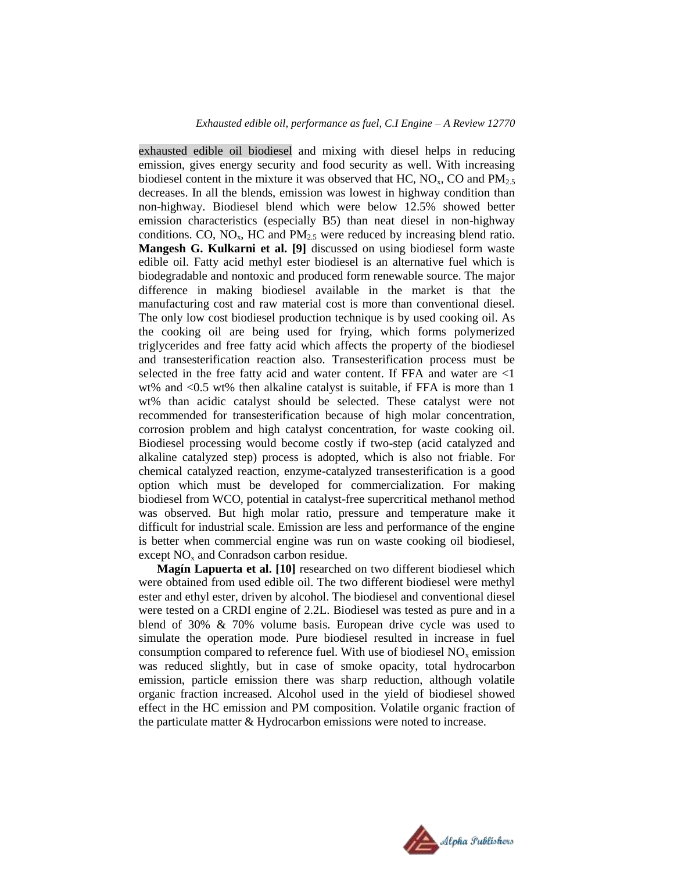exhausted edible oil biodiesel and mixing with diesel helps in reducing emission, gives energy security and food security as well. With increasing biodiesel content in the mixture it was observed that HC,  $NO<sub>x</sub>$ , CO and  $PM<sub>2.5</sub>$ decreases. In all the blends, emission was lowest in highway condition than non-highway. Biodiesel blend which were below 12.5% showed better emission characteristics (especially B5) than neat diesel in non-highway conditions. CO,  $NO<sub>x</sub>$ , HC and  $PM<sub>2.5</sub>$  were reduced by increasing blend ratio. **Mangesh G. Kulkarni et al. [9]** discussed on using biodiesel form waste edible oil. Fatty acid methyl ester biodiesel is an alternative fuel which is biodegradable and nontoxic and produced form renewable source. The major difference in making biodiesel available in the market is that the manufacturing cost and raw material cost is more than conventional diesel. The only low cost biodiesel production technique is by used cooking oil. As the cooking oil are being used for frying, which forms polymerized triglycerides and free fatty acid which affects the property of the biodiesel and transesterification reaction also. Transesterification process must be selected in the free fatty acid and water content. If FFA and water are <1 wt% and <0.5 wt% then alkaline catalyst is suitable, if FFA is more than 1 wt% than acidic catalyst should be selected. These catalyst were not recommended for transesterification because of high molar concentration, corrosion problem and high catalyst concentration, for waste cooking oil. Biodiesel processing would become costly if two-step (acid catalyzed and alkaline catalyzed step) process is adopted, which is also not friable. For chemical catalyzed reaction, enzyme-catalyzed transesterification is a good option which must be developed for commercialization. For making biodiesel from WCO, potential in catalyst-free supercritical methanol method was observed. But high molar ratio, pressure and temperature make it difficult for industrial scale. Emission are less and performance of the engine is better when commercial engine was run on waste cooking oil biodiesel, except  $NO<sub>x</sub>$  and Conradson carbon residue.

**Magín Lapuerta et al. [10]** researched on two different biodiesel which were obtained from used edible oil. The two different biodiesel were methyl ester and ethyl ester, driven by alcohol. The biodiesel and conventional diesel were tested on a CRDI engine of 2.2L. Biodiesel was tested as pure and in a blend of 30% & 70% volume basis. European drive cycle was used to simulate the operation mode. Pure biodiesel resulted in increase in fuel consumption compared to reference fuel. With use of biodiesel  $NO<sub>x</sub>$  emission was reduced slightly, but in case of smoke opacity, total hydrocarbon emission, particle emission there was sharp reduction, although volatile organic fraction increased. Alcohol used in the yield of biodiesel showed effect in the HC emission and PM composition. Volatile organic fraction of the particulate matter & Hydrocarbon emissions were noted to increase.

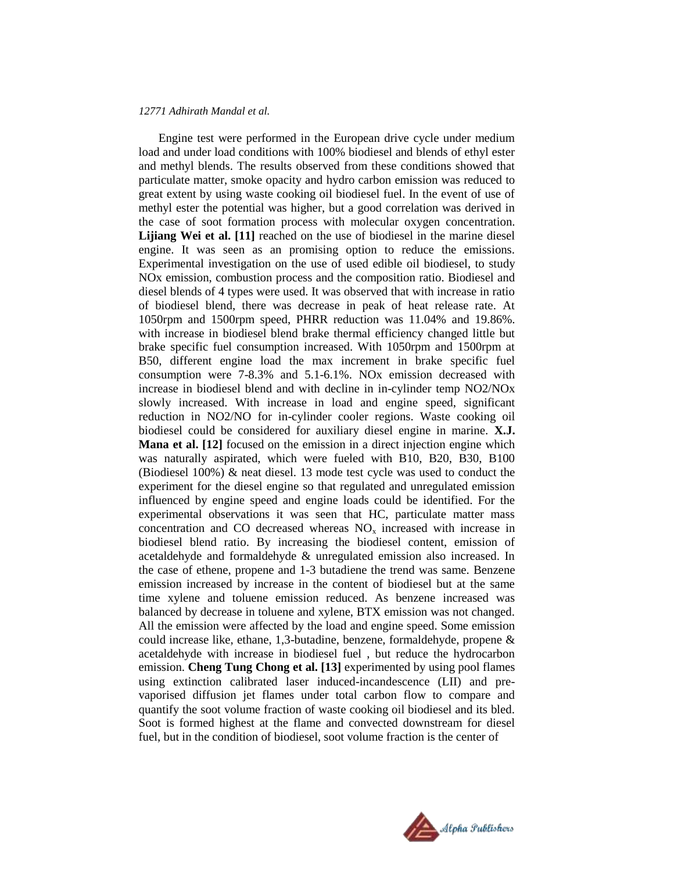Engine test were performed in the European drive cycle under medium load and under load conditions with 100% biodiesel and blends of ethyl ester and methyl blends. The results observed from these conditions showed that particulate matter, smoke opacity and hydro carbon emission was reduced to great extent by using waste cooking oil biodiesel fuel. In the event of use of methyl ester the potential was higher, but a good correlation was derived in the case of soot formation process with molecular oxygen concentration. Lijiang Wei et al. [11] reached on the use of biodiesel in the marine diesel engine. It was seen as an promising option to reduce the emissions. Experimental investigation on the use of used edible oil biodiesel, to study NOx emission, combustion process and the composition ratio. Biodiesel and diesel blends of 4 types were used. It was observed that with increase in ratio of biodiesel blend, there was decrease in peak of heat release rate. At 1050rpm and 1500rpm speed, PHRR reduction was 11.04% and 19.86%. with increase in biodiesel blend brake thermal efficiency changed little but brake specific fuel consumption increased. With 1050rpm and 1500rpm at B50, different engine load the max increment in brake specific fuel consumption were 7-8.3% and 5.1-6.1%. NOx emission decreased with increase in biodiesel blend and with decline in in-cylinder temp NO2/NOx slowly increased. With increase in load and engine speed, significant reduction in NO2/NO for in-cylinder cooler regions. Waste cooking oil biodiesel could be considered for auxiliary diesel engine in marine. **X.J. Mana et al. [12]** focused on the emission in a direct injection engine which was naturally aspirated, which were fueled with B10, B20, B30, B100 (Biodiesel 100%) & neat diesel. 13 mode test cycle was used to conduct the experiment for the diesel engine so that regulated and unregulated emission influenced by engine speed and engine loads could be identified. For the experimental observations it was seen that HC, particulate matter mass concentration and CO decreased whereas  $NO<sub>x</sub>$  increased with increase in biodiesel blend ratio. By increasing the biodiesel content, emission of acetaldehyde and formaldehyde & unregulated emission also increased. In the case of ethene, propene and 1-3 butadiene the trend was same. Benzene emission increased by increase in the content of biodiesel but at the same time xylene and toluene emission reduced. As benzene increased was balanced by decrease in toluene and xylene, BTX emission was not changed. All the emission were affected by the load and engine speed. Some emission could increase like, ethane, 1,3-butadine, benzene, formaldehyde, propene & acetaldehyde with increase in biodiesel fuel , but reduce the hydrocarbon emission. **Cheng Tung Chong et al. [13]** experimented by using pool flames using extinction calibrated laser induced-incandescence (LII) and prevaporised diffusion jet flames under total carbon flow to compare and quantify the soot volume fraction of waste cooking oil biodiesel and its bled. Soot is formed highest at the flame and convected downstream for diesel fuel, but in the condition of biodiesel, soot volume fraction is the center of

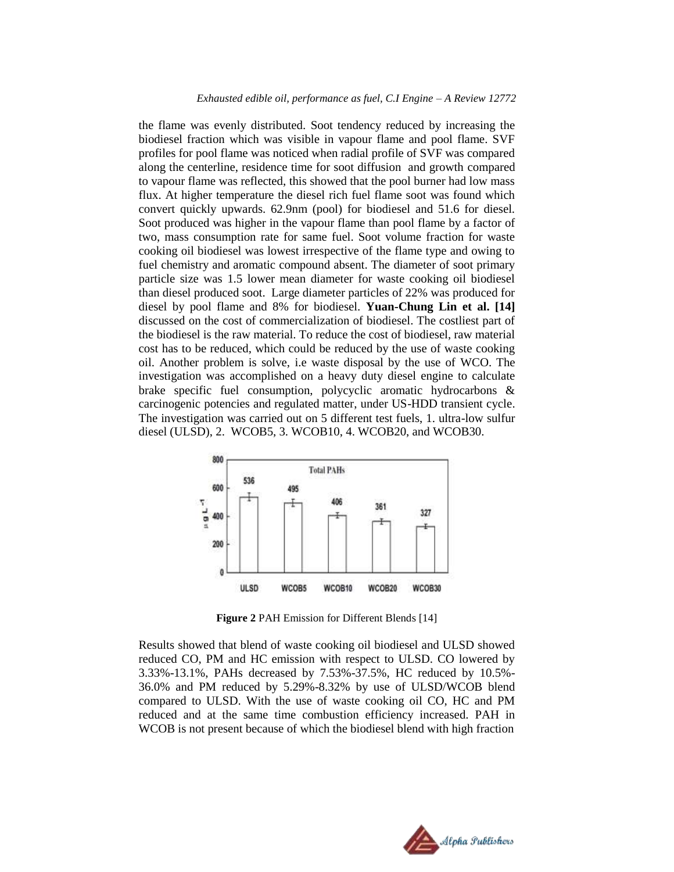the flame was evenly distributed. Soot tendency reduced by increasing the biodiesel fraction which was visible in vapour flame and pool flame. SVF profiles for pool flame was noticed when radial profile of SVF was compared along the centerline, residence time for soot diffusion and growth compared to vapour flame was reflected, this showed that the pool burner had low mass flux. At higher temperature the diesel rich fuel flame soot was found which convert quickly upwards. 62.9nm (pool) for biodiesel and 51.6 for diesel. Soot produced was higher in the vapour flame than pool flame by a factor of two, mass consumption rate for same fuel. Soot volume fraction for waste cooking oil biodiesel was lowest irrespective of the flame type and owing to fuel chemistry and aromatic compound absent. The diameter of soot primary particle size was 1.5 lower mean diameter for waste cooking oil biodiesel than diesel produced soot. Large diameter particles of 22% was produced for diesel by pool flame and 8% for biodiesel. **Yuan-Chung Lin et al. [14]**  discussed on the cost of commercialization of biodiesel. The costliest part of the biodiesel is the raw material. To reduce the cost of biodiesel, raw material cost has to be reduced, which could be reduced by the use of waste cooking oil. Another problem is solve, i.e waste disposal by the use of WCO. The investigation was accomplished on a heavy duty diesel engine to calculate brake specific fuel consumption, polycyclic aromatic hydrocarbons & carcinogenic potencies and regulated matter, under US-HDD transient cycle. The investigation was carried out on 5 different test fuels, 1. ultra-low sulfur diesel (ULSD), 2. WCOB5, 3. WCOB10, 4. WCOB20, and WCOB30.



**Figure 2** PAH Emission for Different Blends [14]

Results showed that blend of waste cooking oil biodiesel and ULSD showed reduced CO, PM and HC emission with respect to ULSD. CO lowered by 3.33%-13.1%, PAHs decreased by 7.53%-37.5%, HC reduced by 10.5%- 36.0% and PM reduced by 5.29%-8.32% by use of ULSD/WCOB blend compared to ULSD. With the use of waste cooking oil CO, HC and PM reduced and at the same time combustion efficiency increased. PAH in WCOB is not present because of which the biodiesel blend with high fraction

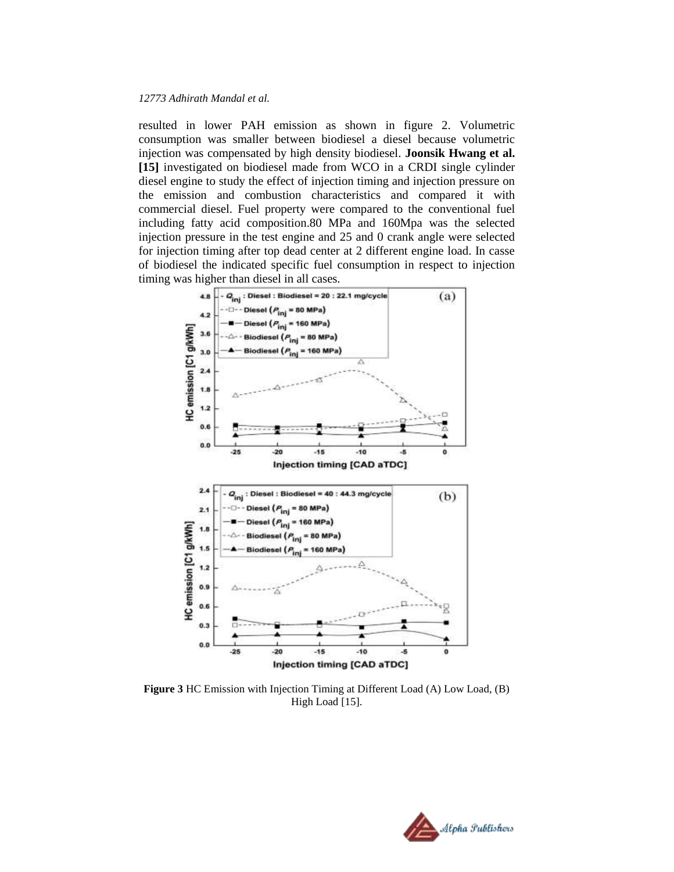resulted in lower PAH emission as shown in figure 2. Volumetric consumption was smaller between biodiesel a diesel because volumetric injection was compensated by high density biodiesel. **Joonsik Hwang et al. [15]** investigated on biodiesel made from WCO in a CRDI single cylinder diesel engine to study the effect of injection timing and injection pressure on the emission and combustion characteristics and compared it with commercial diesel. Fuel property were compared to the conventional fuel including fatty acid composition.80 MPa and 160Mpa was the selected injection pressure in the test engine and 25 and 0 crank angle were selected for injection timing after top dead center at 2 different engine load. In casse of biodiesel the indicated specific fuel consumption in respect to injection timing was higher than diesel in all cases.



**Figure 3** HC Emission with Injection Timing at Different Load (A) Low Load, (B) High Load [15].

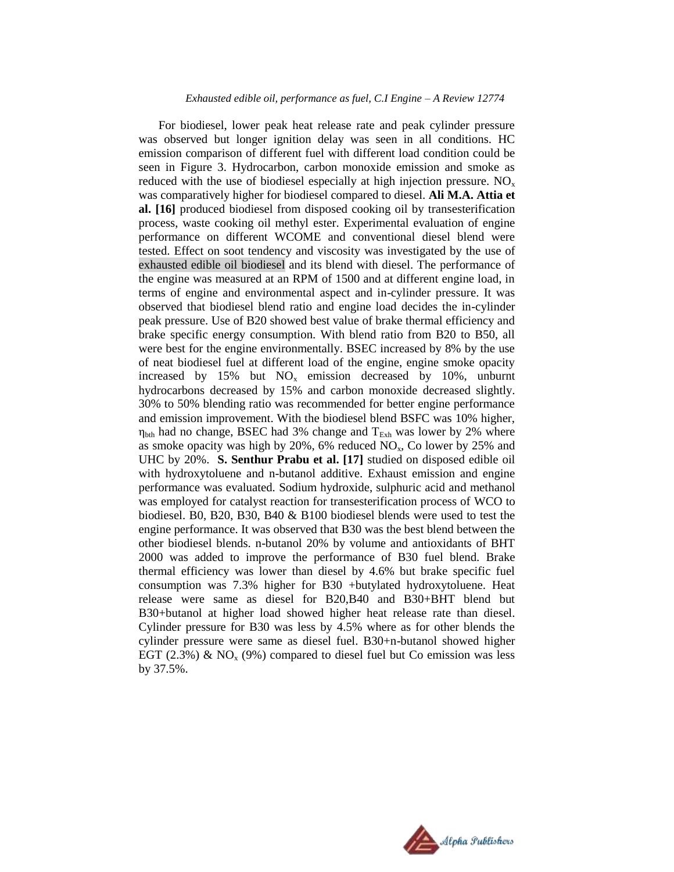For biodiesel, lower peak heat release rate and peak cylinder pressure was observed but longer ignition delay was seen in all conditions. HC emission comparison of different fuel with different load condition could be seen in Figure 3. Hydrocarbon, carbon monoxide emission and smoke as reduced with the use of biodiesel especially at high injection pressure.  $NO<sub>x</sub>$ was comparatively higher for biodiesel compared to diesel. **Ali M.A. Attia et al. [16]** produced biodiesel from disposed cooking oil by transesterification process, waste cooking oil methyl ester. Experimental evaluation of engine performance on different WCOME and conventional diesel blend were tested. Effect on soot tendency and viscosity was investigated by the use of exhausted edible oil biodiesel and its blend with diesel. The performance of the engine was measured at an RPM of 1500 and at different engine load, in terms of engine and environmental aspect and in-cylinder pressure. It was observed that biodiesel blend ratio and engine load decides the in-cylinder peak pressure. Use of B20 showed best value of brake thermal efficiency and brake specific energy consumption. With blend ratio from B20 to B50, all were best for the engine environmentally. BSEC increased by 8% by the use of neat biodiesel fuel at different load of the engine, engine smoke opacity increased by 15% but  $NO<sub>x</sub>$  emission decreased by 10%, unburnt hydrocarbons decreased by 15% and carbon monoxide decreased slightly. 30% to 50% blending ratio was recommended for better engine performance and emission improvement. With the biodiesel blend BSFC was 10% higher,  $\eta_{\text{bth}}$  had no change, BSEC had 3% change and  $T_{Exh}$  was lower by 2% where as smoke opacity was high by  $20\%$ , 6% reduced  $NO<sub>x</sub>$ , Co lower by 25% and UHC by 20%. **S. Senthur Prabu et al. [17]** studied on disposed edible oil with hydroxytoluene and n-butanol additive. Exhaust emission and engine performance was evaluated. Sodium hydroxide, sulphuric acid and methanol was employed for catalyst reaction for transesterification process of WCO to biodiesel. B0, B20, B30, B40 & B100 biodiesel blends were used to test the engine performance. It was observed that B30 was the best blend between the other biodiesel blends. n-butanol 20% by volume and antioxidants of BHT 2000 was added to improve the performance of B30 fuel blend. Brake thermal efficiency was lower than diesel by 4.6% but brake specific fuel consumption was 7.3% higher for B30 +butylated hydroxytoluene. Heat release were same as diesel for B20,B40 and B30+BHT blend but B30+butanol at higher load showed higher heat release rate than diesel. Cylinder pressure for B30 was less by 4.5% where as for other blends the cylinder pressure were same as diesel fuel. B30+n-butanol showed higher EGT (2.3%) &  $NO<sub>x</sub>$  (9%) compared to diesel fuel but Co emission was less by 37.5%.

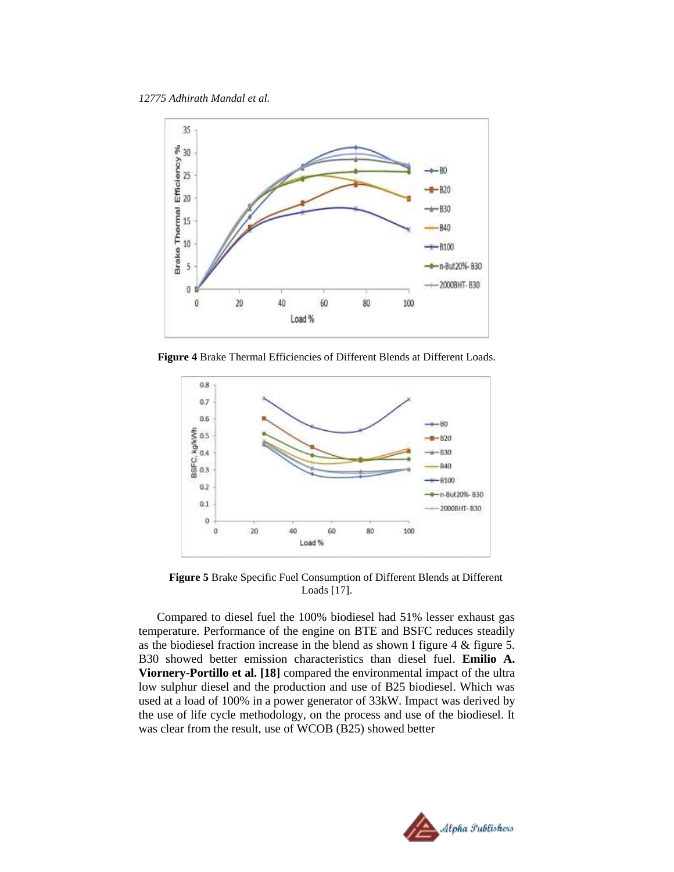

**Figure 4** Brake Thermal Efficiencies of Different Blends at Different Loads.



**Figure 5** Brake Specific Fuel Consumption of Different Blends at Different Loads [17].

Compared to diesel fuel the 100% biodiesel had 51% lesser exhaust gas temperature. Performance of the engine on BTE and BSFC reduces steadily as the biodiesel fraction increase in the blend as shown I figure 4 & figure 5. B30 showed better emission characteristics than diesel fuel. **Emilio A. Viornery-Portillo et al. [18]** compared the environmental impact of the ultra low sulphur diesel and the production and use of B25 biodiesel. Which was used at a load of 100% in a power generator of 33kW. Impact was derived by the use of life cycle methodology, on the process and use of the biodiesel. It was clear from the result, use of WCOB (B25) showed better

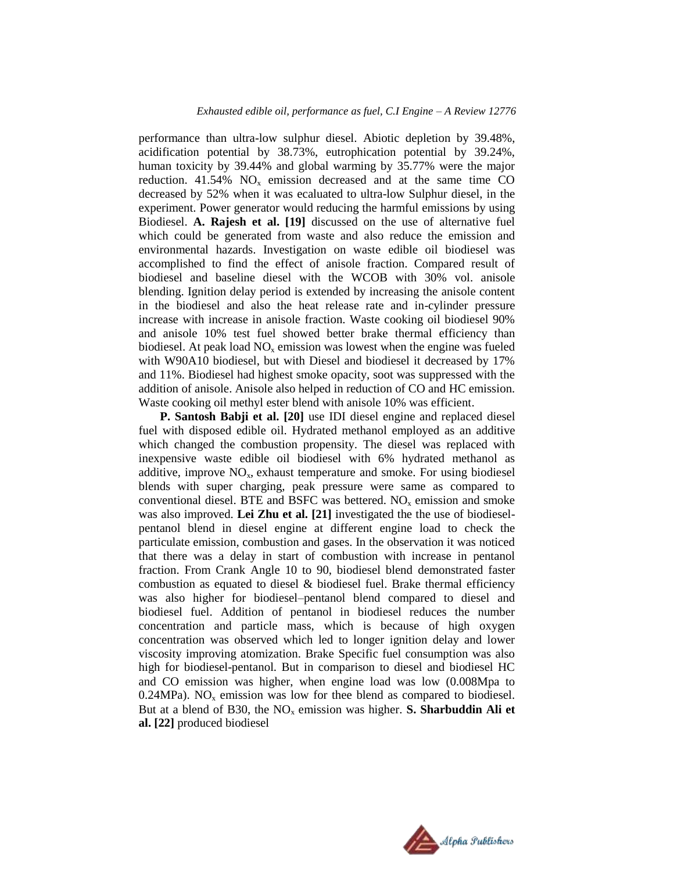performance than ultra-low sulphur diesel. Abiotic depletion by 39.48%, acidification potential by 38.73%, eutrophication potential by 39.24%, human toxicity by 39.44% and global warming by 35.77% were the major reduction.  $41.54\%$  NO<sub>x</sub> emission decreased and at the same time CO decreased by 52% when it was ecaluated to ultra-low Sulphur diesel, in the experiment. Power generator would reducing the harmful emissions by using Biodiesel. **A. Rajesh et al. [19]** discussed on the use of alternative fuel which could be generated from waste and also reduce the emission and environmental hazards. Investigation on waste edible oil biodiesel was accomplished to find the effect of anisole fraction. Compared result of biodiesel and baseline diesel with the WCOB with 30% vol. anisole blending. Ignition delay period is extended by increasing the anisole content in the biodiesel and also the heat release rate and in-cylinder pressure increase with increase in anisole fraction. Waste cooking oil biodiesel 90% and anisole 10% test fuel showed better brake thermal efficiency than biodiesel. At peak load  $NO<sub>x</sub>$  emission was lowest when the engine was fueled with W90A10 biodiesel, but with Diesel and biodiesel it decreased by 17% and 11%. Biodiesel had highest smoke opacity, soot was suppressed with the addition of anisole. Anisole also helped in reduction of CO and HC emission. Waste cooking oil methyl ester blend with anisole 10% was efficient.

**P. Santosh Babji et al. [20]** use IDI diesel engine and replaced diesel fuel with disposed edible oil. Hydrated methanol employed as an additive which changed the combustion propensity. The diesel was replaced with inexpensive waste edible oil biodiesel with 6% hydrated methanol as additive, improve  $NO<sub>x</sub>$ , exhaust temperature and smoke. For using biodiesel blends with super charging, peak pressure were same as compared to conventional diesel. BTE and BSFC was bettered.  $NO<sub>x</sub>$  emission and smoke was also improved. **Lei Zhu et al. [21]** investigated the the use of biodieselpentanol blend in diesel engine at different engine load to check the particulate emission, combustion and gases. In the observation it was noticed that there was a delay in start of combustion with increase in pentanol fraction. From Crank Angle 10 to 90, biodiesel blend demonstrated faster combustion as equated to diesel & biodiesel fuel. Brake thermal efficiency was also higher for biodiesel–pentanol blend compared to diesel and biodiesel fuel. Addition of pentanol in biodiesel reduces the number concentration and particle mass, which is because of high oxygen concentration was observed which led to longer ignition delay and lower viscosity improving atomization. Brake Specific fuel consumption was also high for biodiesel-pentanol. But in comparison to diesel and biodiesel HC and CO emission was higher, when engine load was low (0.008Mpa to 0.24MPa). NO<sub>x</sub> emission was low for thee blend as compared to biodiesel. But at a blend of B30, the  $NO<sub>x</sub>$  emission was higher. **S. Sharbuddin Ali et al. [22]** produced biodiesel

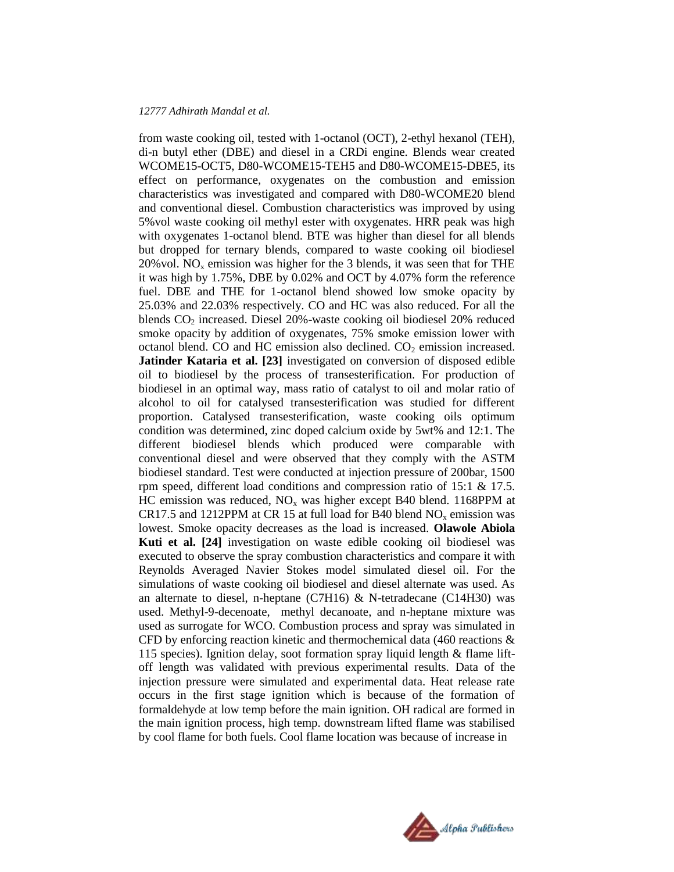from waste cooking oil, tested with 1-octanol (OCT), 2-ethyl hexanol (TEH), di-n butyl ether (DBE) and diesel in a CRDi engine. Blends wear created WCOME15-OCT5, D80-WCOME15-TEH5 and D80-WCOME15-DBE5, its effect on performance, oxygenates on the combustion and emission characteristics was investigated and compared with D80-WCOME20 blend and conventional diesel. Combustion characteristics was improved by using 5%vol waste cooking oil methyl ester with oxygenates. HRR peak was high with oxygenates 1-octanol blend. BTE was higher than diesel for all blends but dropped for ternary blends, compared to waste cooking oil biodiesel  $20\%$  vol. NO<sub>x</sub> emission was higher for the 3 blends, it was seen that for THE it was high by 1.75%, DBE by 0.02% and OCT by 4.07% form the reference fuel. DBE and THE for 1-octanol blend showed low smoke opacity by 25.03% and 22.03% respectively. CO and HC was also reduced. For all the blends  $CO<sub>2</sub>$  increased. Diesel 20%-waste cooking oil biodiesel 20% reduced smoke opacity by addition of oxygenates, 75% smoke emission lower with octanol blend. CO and HC emission also declined.  $CO<sub>2</sub>$  emission increased. **Jatinder Kataria et al. [23]** investigated on conversion of disposed edible oil to biodiesel by the process of transesterification. For production of biodiesel in an optimal way, mass ratio of catalyst to oil and molar ratio of alcohol to oil for catalysed transesterification was studied for different proportion. Catalysed transesterification, waste cooking oils optimum condition was determined, zinc doped calcium oxide by 5wt% and 12:1. The different biodiesel blends which produced were comparable with conventional diesel and were observed that they comply with the ASTM biodiesel standard. Test were conducted at injection pressure of 200bar, 1500 rpm speed, different load conditions and compression ratio of 15:1 & 17.5. HC emission was reduced,  $NO<sub>x</sub>$  was higher except B40 blend. 1168PPM at CR17.5 and 1212PPM at CR 15 at full load for B40 blend  $NO<sub>x</sub>$  emission was lowest. Smoke opacity decreases as the load is increased. **Olawole Abiola Kuti et al. [24]** investigation on waste edible cooking oil biodiesel was executed to observe the spray combustion characteristics and compare it with Reynolds Averaged Navier Stokes model simulated diesel oil. For the simulations of waste cooking oil biodiesel and diesel alternate was used. As an alternate to diesel, n-heptane (C7H16) & N-tetradecane (C14H30) was used. Methyl-9-decenoate, methyl decanoate, and n-heptane mixture was used as surrogate for WCO. Combustion process and spray was simulated in CFD by enforcing reaction kinetic and thermochemical data  $(460$  reactions  $\&$ 115 species). Ignition delay, soot formation spray liquid length & flame liftoff length was validated with previous experimental results. Data of the injection pressure were simulated and experimental data. Heat release rate occurs in the first stage ignition which is because of the formation of formaldehyde at low temp before the main ignition. OH radical are formed in the main ignition process, high temp. downstream lifted flame was stabilised by cool flame for both fuels. Cool flame location was because of increase in

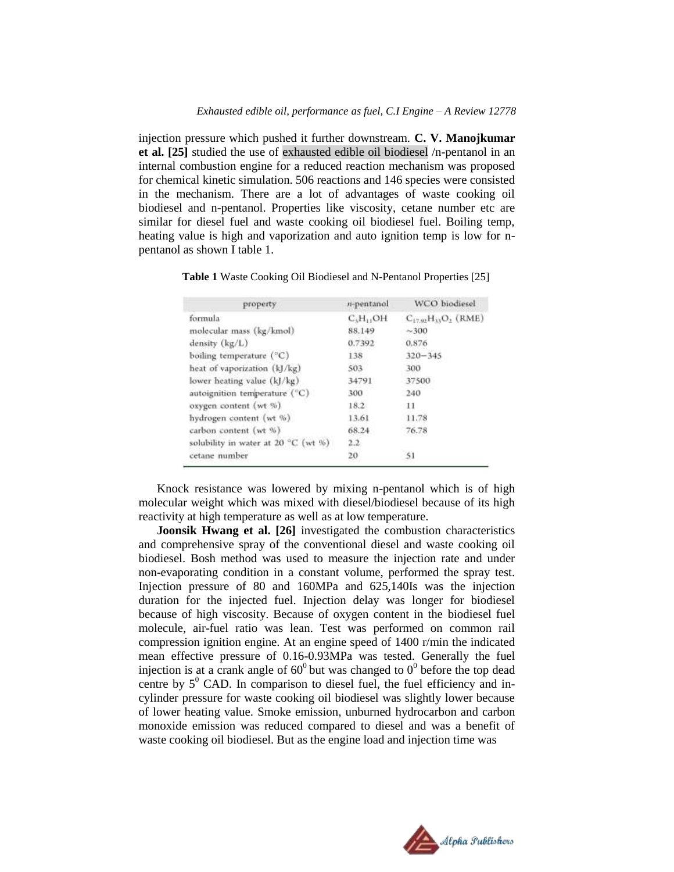injection pressure which pushed it further downstream. **C. V. Manojkumar et al. [25]** studied the use of exhausted edible oil biodiesel /n-pentanol in an internal combustion engine for a reduced reaction mechanism was proposed for chemical kinetic simulation. 506 reactions and 146 species were consisted in the mechanism. There are a lot of advantages of waste cooking oil biodiesel and n-pentanol. Properties like viscosity, cetane number etc are similar for diesel fuel and waste cooking oil biodiesel fuel. Boiling temp, heating value is high and vaporization and auto ignition temp is low for npentanol as shown I table 1.

**Table 1** Waste Cooking Oil Biodiesel and N-Pentanol Properties [25]

| property                            | n-pentanol                        | <b>WCO</b> biodiesel       |
|-------------------------------------|-----------------------------------|----------------------------|
| formula                             | C <sub>3</sub> H <sub>11</sub> OH | $C_{17.92}H_{13}O_2$ (RME) |
| molecular mass (kg/kmol)            | 88.149                            | $-300$                     |
| density $(kg/L)$                    | 0.7392                            | 0.876                      |
| boiling temperature (°C)            | 138                               | $320 - 345$                |
| heat of vaporization (kJ/kg)        | 503                               | 300                        |
| lower heating value (kJ/kg)         | 34791                             | 37500                      |
| autoignition temperature (°C)       | 300                               | 240                        |
| oxygen content (wt %)               | 18.2                              | -11                        |
| hydrogen content (wt %)             | 13.61                             | 11.78                      |
| carbon content (wt %)               | 68.24                             | 76.78                      |
| solubility in water at 20 °C (wt %) | 2.2                               |                            |
| cetane number                       | 20                                | 51                         |

Knock resistance was lowered by mixing n-pentanol which is of high molecular weight which was mixed with diesel/biodiesel because of its high reactivity at high temperature as well as at low temperature.

**Joonsik Hwang et al. [26]** investigated the combustion characteristics and comprehensive spray of the conventional diesel and waste cooking oil biodiesel. Bosh method was used to measure the injection rate and under non-evaporating condition in a constant volume, performed the spray test. Injection pressure of 80 and 160MPa and 625,140Is was the injection duration for the injected fuel. Injection delay was longer for biodiesel because of high viscosity. Because of oxygen content in the biodiesel fuel molecule, air-fuel ratio was lean. Test was performed on common rail compression ignition engine. At an engine speed of 1400 r/min the indicated mean effective pressure of 0.16-0.93MPa was tested. Generally the fuel injection is at a crank angle of  $60^{\circ}$  but was changed to  $0^{\circ}$  before the top dead centre by  $5^0$  CAD. In comparison to diesel fuel, the fuel efficiency and incylinder pressure for waste cooking oil biodiesel was slightly lower because of lower heating value. Smoke emission, unburned hydrocarbon and carbon monoxide emission was reduced compared to diesel and was a benefit of waste cooking oil biodiesel. But as the engine load and injection time was

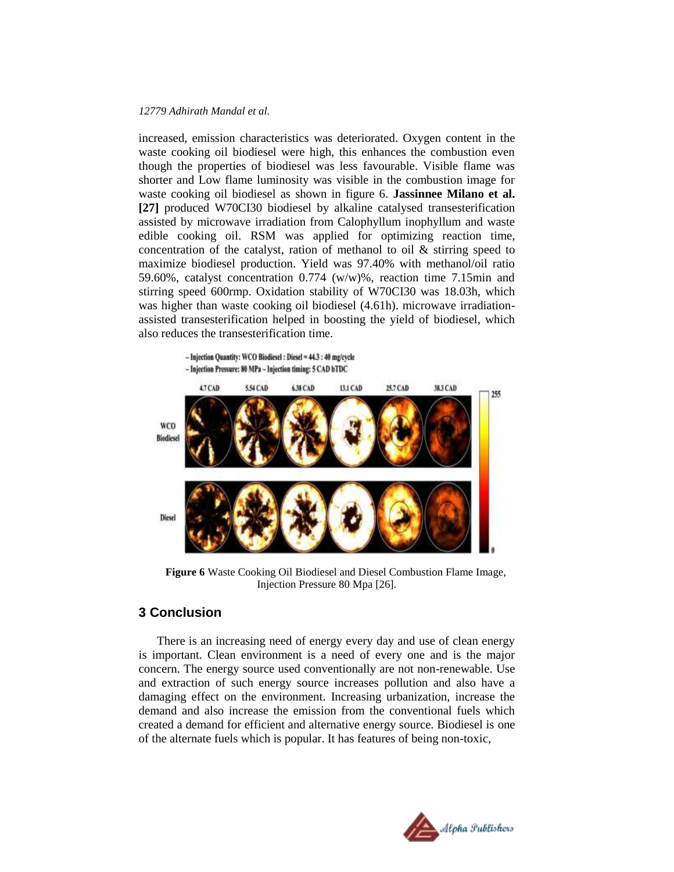increased, emission characteristics was deteriorated. Oxygen content in the waste cooking oil biodiesel were high, this enhances the combustion even though the properties of biodiesel was less favourable. Visible flame was shorter and Low flame luminosity was visible in the combustion image for waste cooking oil biodiesel as shown in figure 6. **Jassinnee Milano et al. [27]** produced W70CI30 biodiesel by alkaline catalysed transesterification assisted by microwave irradiation from Calophyllum inophyllum and waste edible cooking oil. RSM was applied for optimizing reaction time, concentration of the catalyst, ration of methanol to oil & stirring speed to maximize biodiesel production. Yield was 97.40% with methanol/oil ratio 59.60%, catalyst concentration 0.774 (w/w)%, reaction time 7.15min and stirring speed 600rmp. Oxidation stability of W70CI30 was 18.03h, which was higher than waste cooking oil biodiesel (4.61h). microwave irradiationassisted transesterification helped in boosting the yield of biodiesel, which also reduces the transesterification time.



**Figure 6** Waste Cooking Oil Biodiesel and Diesel Combustion Flame Image, Injection Pressure 80 Mpa [26].

# **3 Conclusion**

There is an increasing need of energy every day and use of clean energy is important. Clean environment is a need of every one and is the major concern. The energy source used conventionally are not non-renewable. Use and extraction of such energy source increases pollution and also have a damaging effect on the environment. Increasing urbanization, increase the demand and also increase the emission from the conventional fuels which created a demand for efficient and alternative energy source. Biodiesel is one of the alternate fuels which is popular. It has features of being non-toxic,

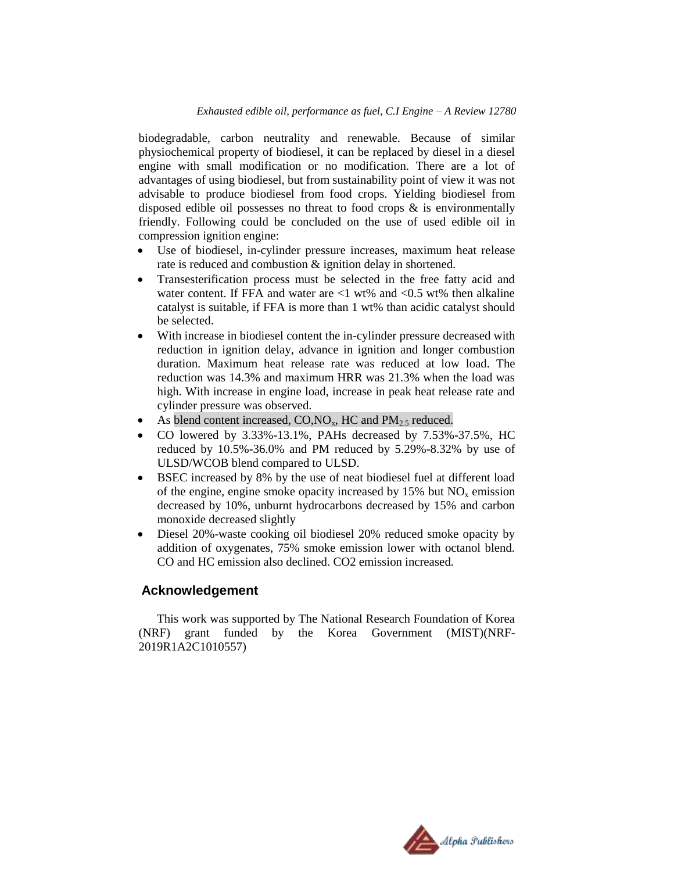biodegradable, carbon neutrality and renewable. Because of similar physiochemical property of biodiesel, it can be replaced by diesel in a diesel engine with small modification or no modification. There are a lot of advantages of using biodiesel, but from sustainability point of view it was not advisable to produce biodiesel from food crops. Yielding biodiesel from disposed edible oil possesses no threat to food crops  $\&$  is environmentally friendly. Following could be concluded on the use of used edible oil in compression ignition engine:

- Use of biodiesel, in-cylinder pressure increases, maximum heat release rate is reduced and combustion & ignition delay in shortened.
- Transesterification process must be selected in the free fatty acid and water content. If FFA and water are  $\langle 1 \rangle$  wt% and  $\langle 0.5 \rangle$  wt% then alkaline catalyst is suitable, if FFA is more than 1 wt% than acidic catalyst should be selected.
- With increase in biodiesel content the in-cylinder pressure decreased with reduction in ignition delay, advance in ignition and longer combustion duration. Maximum heat release rate was reduced at low load. The reduction was 14.3% and maximum HRR was 21.3% when the load was high. With increase in engine load, increase in peak heat release rate and cylinder pressure was observed.
- As blend content increased,  $CO, NO_x$ , HC and  $PM_{2.5}$  reduced.
- CO lowered by 3.33%-13.1%, PAHs decreased by 7.53%-37.5%, HC reduced by 10.5%-36.0% and PM reduced by 5.29%-8.32% by use of ULSD/WCOB blend compared to ULSD.
- BSEC increased by 8% by the use of neat biodiesel fuel at different load of the engine, engine smoke opacity increased by  $15\%$  but  $NO<sub>x</sub>$  emission decreased by 10%, unburnt hydrocarbons decreased by 15% and carbon monoxide decreased slightly
- Diesel 20%-waste cooking oil biodiesel 20% reduced smoke opacity by addition of oxygenates, 75% smoke emission lower with octanol blend. CO and HC emission also declined. CO2 emission increased.

## **Acknowledgement**

This work was supported by The National Research Foundation of Korea (NRF) grant funded by the Korea Government (MIST)(NRF-2019R1A2C1010557)

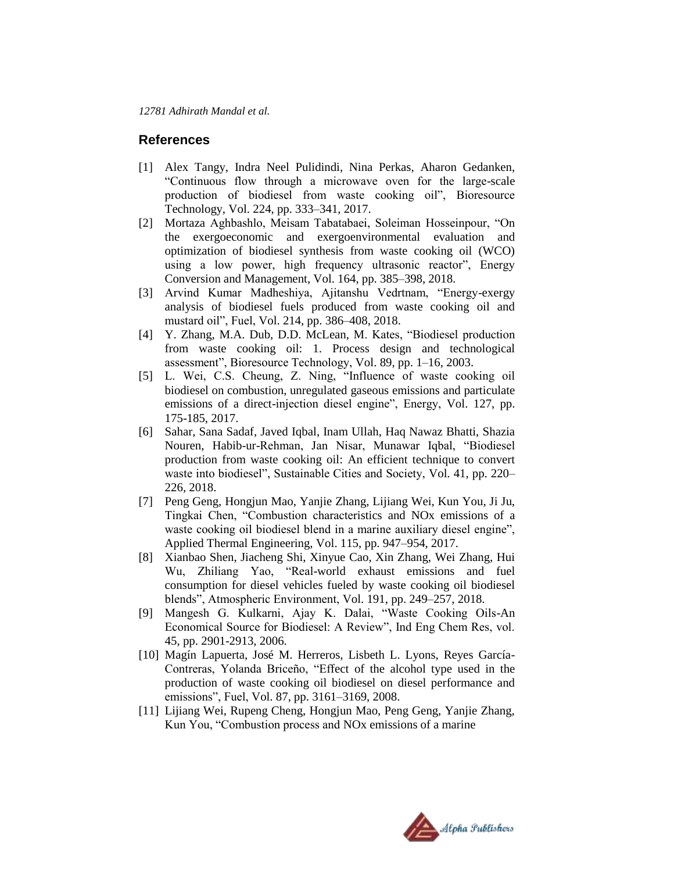## **References**

- [1] Alex Tangy, Indra Neel Pulidindi, Nina Perkas, Aharon Gedanken, "Continuous flow through a microwave oven for the large-scale production of biodiesel from waste cooking oil", Bioresource Technology, Vol. 224, pp. 333–341, 2017.
- [2] Mortaza Aghbashlo, Meisam Tabatabaei, Soleiman Hosseinpour, "On the exergoeconomic and exergoenvironmental evaluation and optimization of biodiesel synthesis from waste cooking oil (WCO) using a low power, high frequency ultrasonic reactor", Energy Conversion and Management, Vol. 164, pp. 385–398, 2018.
- [3] Arvind Kumar Madheshiya, Ajitanshu Vedrtnam, "Energy-exergy analysis of biodiesel fuels produced from waste cooking oil and mustard oil", Fuel, Vol. 214, pp. 386–408, 2018.
- [4] Y. Zhang, M.A. Dub, D.D. McLean, M. Kates, "Biodiesel production from waste cooking oil: 1. Process design and technological assessment", Bioresource Technology, Vol. 89, pp. 1–16, 2003.
- [5] L. Wei, C.S. Cheung, Z. Ning, "Influence of waste cooking oil biodiesel on combustion, unregulated gaseous emissions and particulate emissions of a direct-injection diesel engine", Energy, Vol. 127, pp. 175-185, 2017.
- [6] Sahar, Sana Sadaf, Javed Iqbal, Inam Ullah, Haq Nawaz Bhatti, Shazia Nouren, Habib-ur-Rehman, Jan Nisar, Munawar Iqbal, "Biodiesel production from waste cooking oil: An efficient technique to convert waste into biodiesel", Sustainable Cities and Society, Vol. 41, pp. 220– 226, 2018.
- [7] Peng Geng, Hongjun Mao, Yanjie Zhang, Lijiang Wei, Kun You, Ji Ju, Tingkai Chen, "Combustion characteristics and NOx emissions of a waste cooking oil biodiesel blend in a marine auxiliary diesel engine", Applied Thermal Engineering, Vol. 115, pp. 947–954, 2017.
- [8] Xianbao Shen, Jiacheng Shi, Xinyue Cao, Xin Zhang, Wei Zhang, Hui Wu, Zhiliang Yao, "Real-world exhaust emissions and fuel consumption for diesel vehicles fueled by waste cooking oil biodiesel blends", Atmospheric Environment, Vol. 191, pp. 249–257, 2018.
- [9] Mangesh G. Kulkarni, Ajay K. Dalai, "Waste Cooking Oils-An Economical Source for Biodiesel: A Review", Ind Eng Chem Res, vol. 45, pp. 2901-2913, 2006.
- [10] Magín Lapuerta, José M. Herreros, Lisbeth L. Lyons, Reyes García-Contreras, Yolanda Briceño, "Effect of the alcohol type used in the production of waste cooking oil biodiesel on diesel performance and emissions", Fuel, Vol. 87, pp. 3161–3169, 2008.
- [11] Lijiang Wei, Rupeng Cheng, Hongjun Mao, Peng Geng, Yanjie Zhang, Kun You, "Combustion process and NOx emissions of a marine

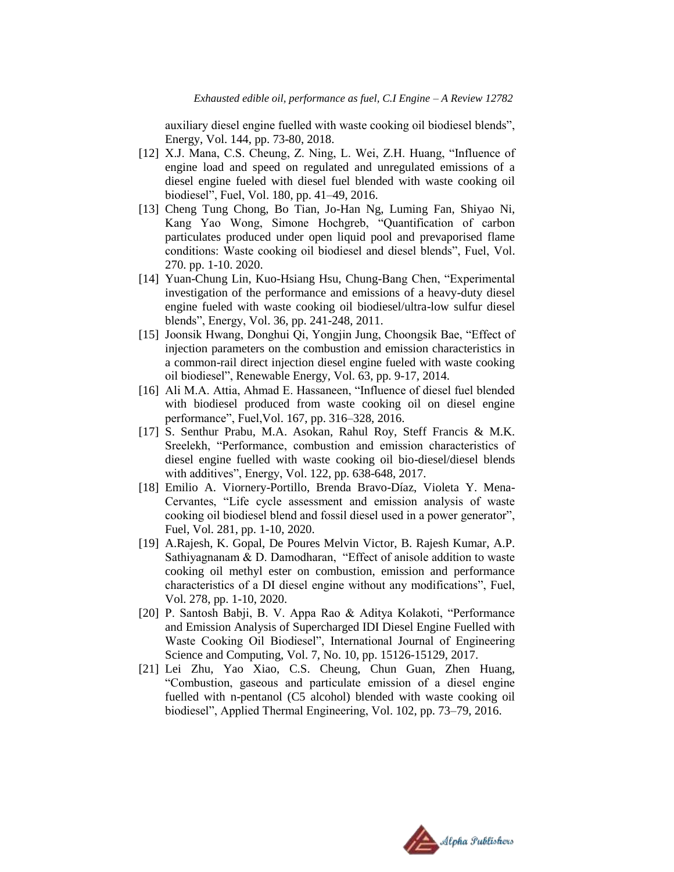auxiliary diesel engine fuelled with waste cooking oil biodiesel blends", Energy, Vol. 144, pp. 73-80, 2018.

- [12] X.J. Mana, C.S. Cheung, Z. Ning, L. Wei, Z.H. Huang, "Influence of engine load and speed on regulated and unregulated emissions of a diesel engine fueled with diesel fuel blended with waste cooking oil biodiesel", Fuel, Vol. 180, pp. 41–49, 2016.
- [13] Cheng Tung Chong, Bo Tian, Jo-Han Ng, Luming Fan, Shiyao Ni, Kang Yao Wong, Simone Hochgreb, "Quantification of carbon particulates produced under open liquid pool and prevaporised flame conditions: Waste cooking oil biodiesel and diesel blends", Fuel, Vol. 270. pp. 1-10. 2020.
- [14] Yuan-Chung Lin, Kuo-Hsiang Hsu, Chung-Bang Chen, "Experimental investigation of the performance and emissions of a heavy-duty diesel engine fueled with waste cooking oil biodiesel/ultra-low sulfur diesel blends", Energy, Vol. 36, pp. 241-248, 2011.
- [15] Joonsik Hwang, Donghui Qi, Yongjin Jung, Choongsik Bae, "Effect of injection parameters on the combustion and emission characteristics in a common-rail direct injection diesel engine fueled with waste cooking oil biodiesel", Renewable Energy, Vol. 63, pp. 9-17, 2014.
- [16] Ali M.A. Attia, Ahmad E. Hassaneen, "Influence of diesel fuel blended with biodiesel produced from waste cooking oil on diesel engine performance", Fuel,Vol. 167, pp. 316–328, 2016.
- [17] S. Senthur Prabu, M.A. Asokan, Rahul Roy, Steff Francis & M.K. Sreelekh, "Performance, combustion and emission characteristics of diesel engine fuelled with waste cooking oil bio-diesel/diesel blends with additives", Energy, Vol. 122, pp. 638-648, 2017.
- [18] Emilio A. Viornery-Portillo, Brenda Bravo-Díaz, Violeta Y. Mena-Cervantes, "Life cycle assessment and emission analysis of waste cooking oil biodiesel blend and fossil diesel used in a power generator", Fuel, Vol. 281, pp. 1-10, 2020.
- [19] A.Rajesh, K. Gopal, De Poures Melvin Victor, B. Rajesh Kumar, A.P. Sathiyagnanam & D. Damodharan, "Effect of anisole addition to waste cooking oil methyl ester on combustion, emission and performance characteristics of a DI diesel engine without any modifications", Fuel, Vol. 278, pp. 1-10, 2020.
- [20] P. Santosh Babji, B. V. Appa Rao & Aditya Kolakoti, "Performance and Emission Analysis of Supercharged IDI Diesel Engine Fuelled with Waste Cooking Oil Biodiesel", International Journal of Engineering Science and Computing, Vol. 7, No. 10, pp. 15126-15129, 2017.
- [21] Lei Zhu, Yao Xiao, C.S. Cheung, Chun Guan, Zhen Huang, "Combustion, gaseous and particulate emission of a diesel engine fuelled with n-pentanol (C5 alcohol) blended with waste cooking oil biodiesel", Applied Thermal Engineering, Vol. 102, pp. 73–79, 2016.

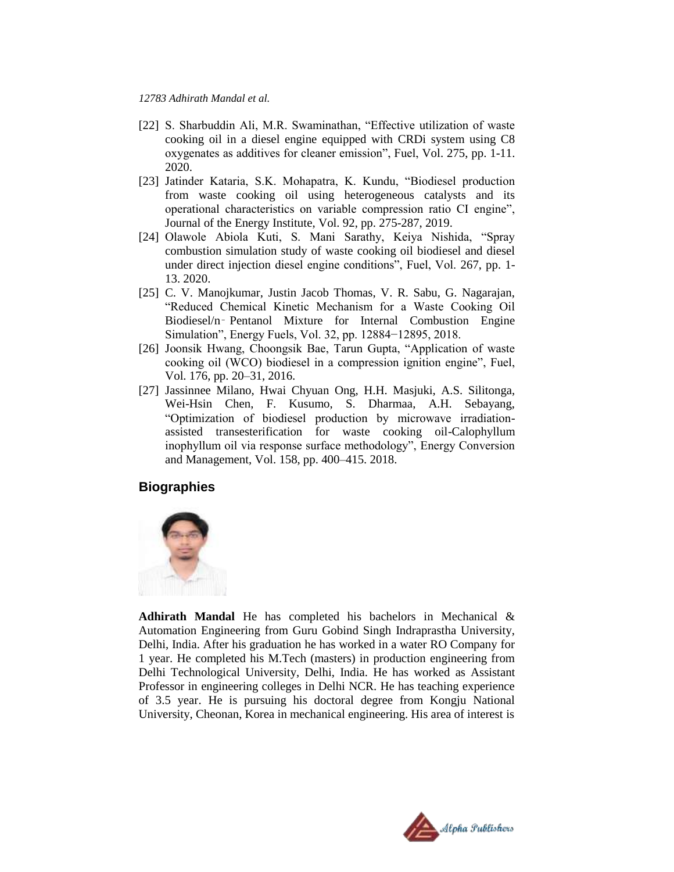- [22] S. Sharbuddin Ali, M.R. Swaminathan, "Effective utilization of waste cooking oil in a diesel engine equipped with CRDi system using C8 oxygenates as additives for cleaner emission", Fuel, Vol. 275, pp. 1-11. 2020.
- [23] Jatinder Kataria, S.K. Mohapatra, K. Kundu, "Biodiesel production from waste cooking oil using heterogeneous catalysts and its operational characteristics on variable compression ratio CI engine", Journal of the Energy Institute, Vol. 92, pp. 275-287, 2019.
- [24] Olawole Abiola Kuti, S. Mani Sarathy, Keiya Nishida, "Spray combustion simulation study of waste cooking oil biodiesel and diesel under direct injection diesel engine conditions", Fuel, Vol. 267, pp. 1- 13. 2020.
- [25] C. V. Manojkumar, Justin Jacob Thomas, V. R. Sabu, G. Nagarajan, "Reduced Chemical Kinetic Mechanism for a Waste Cooking Oil Biodiesel/n‑ Pentanol Mixture for Internal Combustion Engine Simulation", Energy Fuels, Vol. 32, pp. 12884−12895, 2018.
- [26] Joonsik Hwang, Choongsik Bae, Tarun Gupta, "Application of waste cooking oil (WCO) biodiesel in a compression ignition engine", Fuel, Vol. 176, pp. 20–31, 2016.
- [27] Jassinnee Milano, Hwai Chyuan Ong, H.H. Masjuki, A.S. Silitonga, Wei-Hsin Chen, F. Kusumo, S. Dharmaa, A.H. Sebayang, "Optimization of biodiesel production by microwave irradiationassisted transesterification for waste cooking oil-Calophyllum inophyllum oil via response surface methodology", Energy Conversion and Management, Vol. 158, pp. 400–415. 2018.

## **Biographies**



**Adhirath Mandal** He has completed his bachelors in Mechanical & Automation Engineering from Guru Gobind Singh Indraprastha University, Delhi, India. After his graduation he has worked in a water RO Company for 1 year. He completed his M.Tech (masters) in production engineering from Delhi Technological University, Delhi, India. He has worked as Assistant Professor in engineering colleges in Delhi NCR. He has teaching experience of 3.5 year. He is pursuing his doctoral degree from Kongju National University, Cheonan, Korea in mechanical engineering. His area of interest is